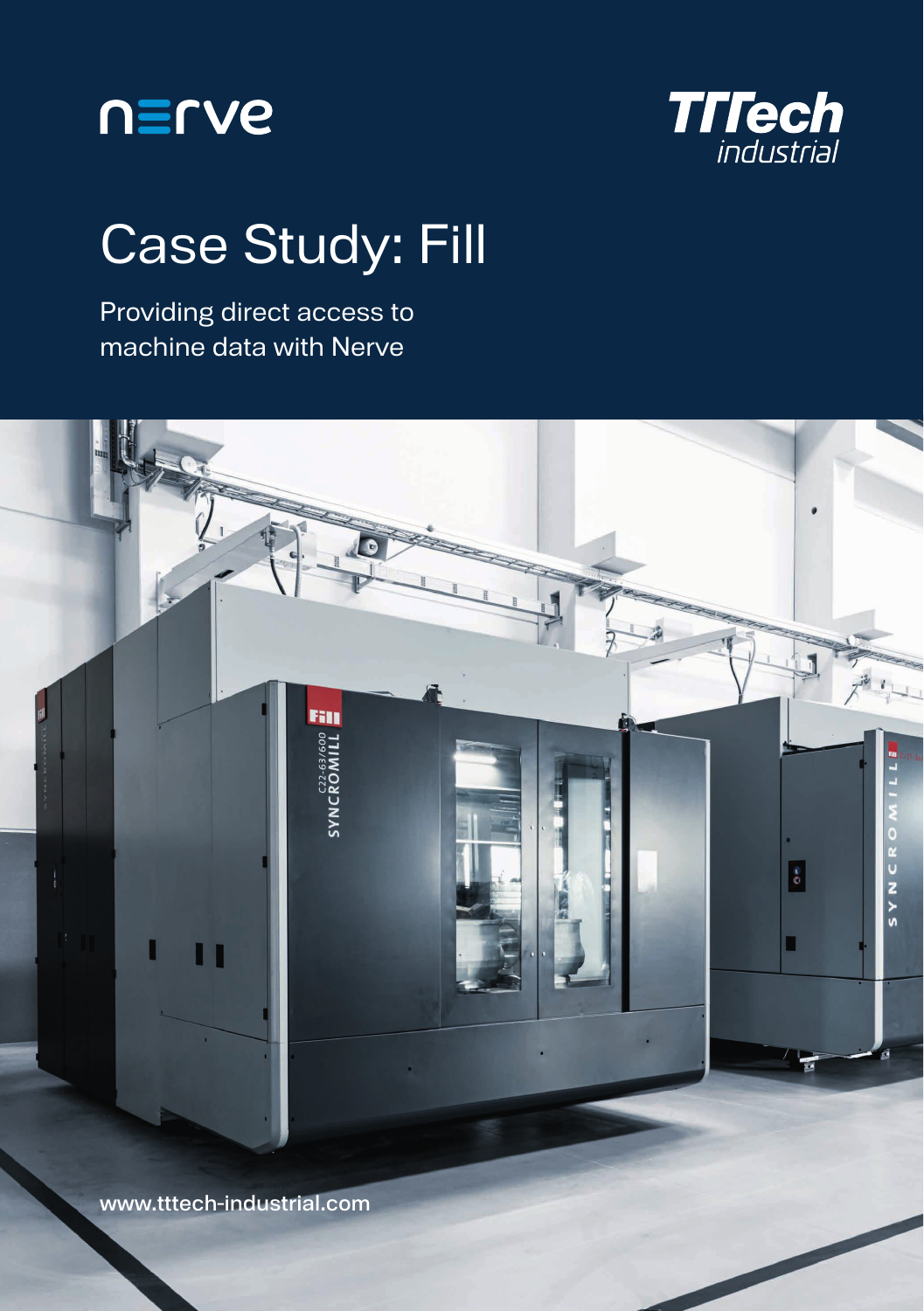



## Case Study: Fill

Providing direct access to machine data with Nerve